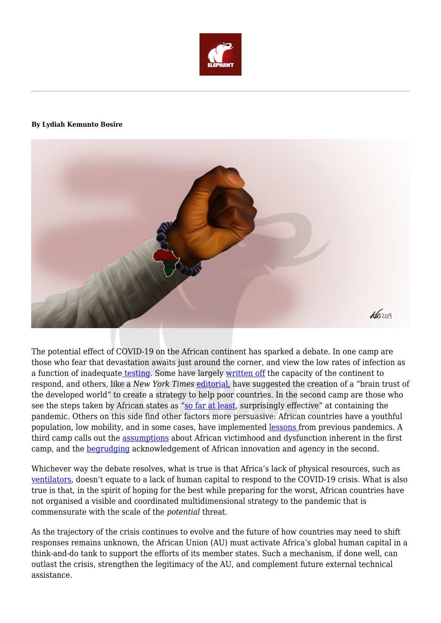

## **By Lydiah Kemunto Bosire**



The potential effect of COVID-19 on the African continent has sparked a debate. In one camp are those who fear that devastation awaits just around the corner, and view the low rates of infection as a function of inadequate [testing.](https://www.economist.com/graphic-detail/2020/05/26/why-africa-struggles-to-test-for-covid-19) Some have largely [written off](https://www.weforum.org/agenda/2020/04/africa-covid-19-time-bomb-defuse/) the capacity of the continent to respond, and others, like a *New York Times* [editorial,](https://www.nytimes.com/2020/04/13/opinion/coronavirus-cases.html) have suggested the creation of a "brain trust of the developed world" to create a strategy to help poor countries. In the second camp are those who see the steps taken by African states as ["so far at least,](https://www.ft.com/content/124dd4f4-8a0b-11ea-9dcb-fe6871f4145a) surprisingly effective" at containing the pandemic. Others on this side find other factors more persuasive: African countries have a youthful population, low mobility, and in some cases, have implemented [lessons](https://www.cnn.com/2020/04/29/africa/south-africa-hiv-coronavirus/index.html) from previous pandemics. A third camp calls out the [assumptions](https://www.aljazeera.com/indepth/opinion/problem-predicting-coronavirus-apocalypse-africa-200505103847843.html) about African victimhood and dysfunction inherent in the first camp, and the [begrudging](https://www.theguardian.com/commentisfree/2020/may/21/africa-coronavirus-successes-innovation-europe-us) acknowledgement of African innovation and agency in the second.

Whichever way the debate resolves, what is true is that Africa's lack of physical resources, such as [ventilators](https://www.nytimes.com/2020/04/18/world/africa/africa-coronavirus-ventilators.html), doesn't equate to a lack of human capital to respond to the COVID-19 crisis. What is also true is that, in the spirit of hoping for the best while preparing for the worst, African countries have not organised a visible and coordinated multidimensional strategy to the pandemic that is commensurate with the scale of the *potential* threat.

As the trajectory of the crisis continues to evolve and the future of how countries may need to shift responses remains unknown, the African Union (AU) must activate Africa's global human capital in a think-and-do tank to support the efforts of its member states. Such a mechanism, if done well, can outlast the crisis, strengthen the legitimacy of the AU, and complement future external technical assistance.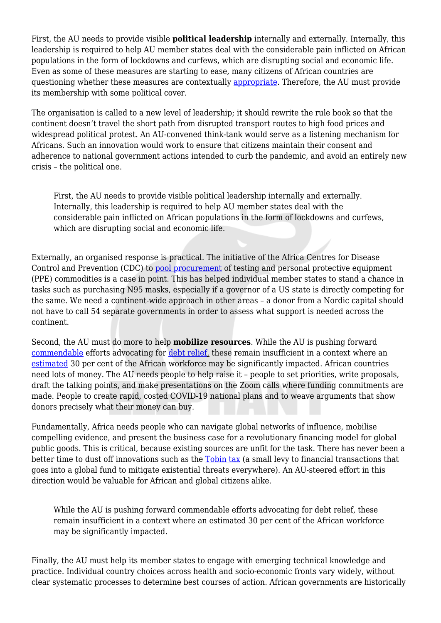First, the AU needs to provide visible **political leadership** internally and externally. Internally, this leadership is required to help AU member states deal with the considerable pain inflicted on African populations in the form of lockdowns and curfews, which are disrupting social and economic life. Even as some of these measures are starting to ease, many citizens of African countries are questioning whether these measures are contextually [appropriate.](https://www.bbc.com/news/world-africa-52268320) Therefore, the AU must provide its membership with some political cover.

The organisation is called to a new level of leadership; it should rewrite the rule book so that the continent doesn't travel the short path from disrupted transport routes to high food prices and widespread political protest. An AU-convened think-tank would serve as a listening mechanism for Africans. Such an innovation would work to ensure that citizens maintain their consent and adherence to national government actions intended to curb the pandemic, and avoid an entirely new crisis – the political one.

First, the AU needs to provide visible political leadership internally and externally. Internally, this leadership is required to help AU member states deal with the considerable pain inflicted on African populations in the form of lockdowns and curfews, which are disrupting social and economic life.

Externally, an organised response is practical. The initiative of the Africa Centres for Disease Control and Prevention (CDC) to [pool procurement](https://www.ft.com/content/72edfd6a-8300-4944-893d-54d08954df6f) of testing and personal protective equipment (PPE) commodities is a case in point. This has helped individual member states to stand a chance in tasks such as purchasing N95 masks, especially if a governor of a US state is directly competing for the same. We need a continent-wide approach in other areas – a donor from a Nordic capital should not have to call 54 separate governments in order to assess what support is needed across the continent.

Second, the AU must do more to help **mobilize resources**. While the AU is pushing forward [commendable](https://au.int/en/pressreleases/20200412/african-union-chair-president-cyril-ramaphosa-appoints-special-envoys) efforts advocating for [debt relief,](https://www.brookings.edu/blog/africa-in-focus/2020/04/18/covid-19-and-debt-standstill-for-africa-the-g-20s-action-is-an-important-first-step-that-must-be-complemented-scaled-up-and-broadened/) these remain insufficient in a context where an [estimated](https://www.mckinsey.com/featured-insights/middle-east-and-africa/finding-africas-path-shaping-bold-solutions-to-save-lives-and-livelihoods-in-the-covid-19-crisis) 30 per cent of the African workforce may be significantly impacted. African countries need lots of money. The AU needs people to help raise it – people to set priorities, write proposals, draft the talking points, and make presentations on the Zoom calls where funding commitments are made. People to create rapid, costed COVID-19 national plans and to weave arguments that show donors precisely what their money can buy.

Fundamentally, Africa needs people who can navigate global networks of influence, mobilise compelling evidence, and present the business case for a revolutionary financing model for global public goods. This is critical, because existing sources are unfit for the task. There has never been a better time to dust off innovations such as the [Tobin tax](https://www.bbc.com/news/business-15552412) (a small levy to financial transactions that goes into a global fund to mitigate existential threats everywhere). An AU-steered effort in this direction would be valuable for African and global citizens alike.

While the AU is pushing forward commendable efforts advocating for debt relief, these remain insufficient in a context where an estimated 30 per cent of the African workforce may be significantly impacted.

Finally, the AU must help its member states to engage with emerging technical knowledge and practice. Individual country choices across health and socio-economic fronts vary widely, without clear systematic processes to determine best courses of action. African governments are historically